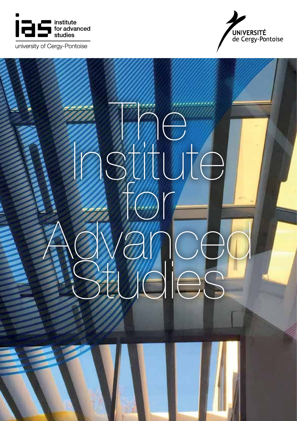

university of Cergy-Pontoise



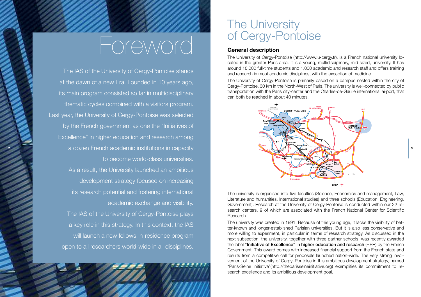## Foreword

The IAS of the University of Cergy-Pontoise stands at the dawn of a new Era. Founded in 10 years ago, its main program consisted so far in multidisciplinary thematic cycles combined with a visitors program. Last year, the University of Cergy-Pontoise was selected by the French government as one the "Initiatives of Excellence" in higher education and research among a dozen French academic institutions in capacity and a series of the series of the series of the series of the series of the series of the series of the series of the series of the series of the series of the series of the to become world-class universities. As a result, the University launched an ambitious development strategy focused on increasing its research potential and fostering international academic exchange and visibility. The IAS of the University of Cergy-Pontoise plays a key role in this strategy. In this context, the IAS will launch a new fellows-in-residence program open to all researchers world-wide in all disciplines.

## The University of Cergy-Pontoise

#### **General description**

The University of Cergy-Pontoise (http://www.u-cergy.fr), is a French national university located in the greater Paris area. It is a young, multidisciplinary, mid-sized, university. It has around 18,000 full-time students and 1,000 academic and research staff and offers training and research in most academic disciplines, with the exception of medicine.

The University of Cergy-Pontoise is primarily based on a campus nested within the city of Cergy-Pontoise, 30 km in the North-West of Paris. The university is well-connected by public transportation with the Paris city-center and the Charles-de-Gaulle international airport, that can both be reached in about 40 minutes.



The university is organised into five faculties (Science, Economics and management, Law, Literature and humanities, International studies) and three schools (Education, Engineering, Government). Research at the University of Cergy-Pontoise is conducted within our 22 research centers, 9 of which are associated with the French National Center for Scientific Research.

The university was created in 1991. Because of this young age, it lacks the visibility of better-known and longer-established Parisian universities. But it is also less conservative and more willing to experiment, in particular in terms of research strategy. As discussed in the next subsection, the university, together with three partner schools, was recently awarded the label "Initiative of Excellence" in higher education and research (HER) by the French Government. This award comes with increased financial support from the French state and results from a competitive call for proposals launched nation-wide. The very strong involvement of the University of Cergy–Pontoise in this ambitious development strategy, named "Paris-Seine Initiative"(http://theparisseineinitiative.org) exemplifies its commitment to research excellence and its ambitious development goal.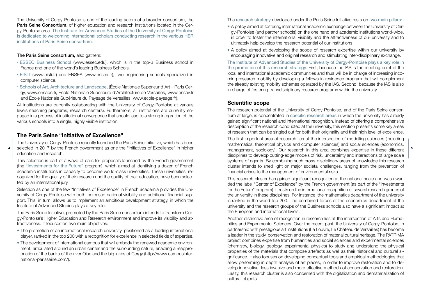The University of Cergy-Pontoise is one of the leading actors of a broader consortium, the Paris Seine Consortium, of higher education and research institutions located in the Cergy-Pontoise area. The Institute for Advanced Studies of the University of Cergy-Pontoise is dedicated to welcoming international scholars conducting research in the various HER institutions of Paris Seine consortium.

#### The Paris Seine consortium, also gathers:

- ESSEC Business School (www.essec.edu), which is in the top-3 Business school in France and one of the world's leading Business Schools.
- EISTI (www.eisti.fr) and ENSEA (www.ensea.fr), two engineering schools specialized in computer science.
- Schools of Art, Architecture and Landscape, (École Nationale Supérieur d'Art Paris Cergy, www.ensapc.fr, École Nationale Supérieure d'Architecture de Versailles, www.ensav.fr and École Nationale Supérieure du Paysage de Versailles, www.ecole-paysage.fr).

All institutions are currently collaborating with the University of Cergy-Pontoise at various levels (teaching programs, research centers). Furthermore, all institutions are currently engaged in a process of institutional convergence that should lead to a strong integration of the various schools into a single, highly visible institution.

#### **The Paris Seine "Initiative of Excellence"**

The University of Cergy-Pontoise recently launched the Paris Seine Initiative, which has been selected in 2017 by the French government as one the "Initiatives of Excellence" in higher education and research. <sup>4</sup> Selected in 2017 by the French government as one the "Initiatives of Excellence" in higher management, sociology). Our research in this area combines expertise in these different |<sup>5</sup>

This selection is part of a wave of calls for proposals launched by the French government (the "Investments for the Future" program), which aimed at identifying a dozen of French academic institutions in capacity to become world-class universities. These universities, recognized for the quality of their research and the quality of their education, have been selected by an international jury.

Selection as one of the few "Initiatives of Excellence" in French academia provides the University of Cergy-Pontoise with both increased national visibility and additional financial support. This, in turn, allows us to implement an ambitious development strategy, in which the Institute of Advanced Studies plays a key role.

The Paris Seine Initiative, promoted by the Paris Seine consortium intends to transform Cergy-Pontoise's Higher Education and Research environment and improve its visibility and attractiveness. It focuses on two main objectives:

- The promotion of an international research university, positioned as a leading international player, ranked in the top 200 with a recognition for excellence in selected fields of expertise.
- The development of international campus that will embody the renewed academic environment, articulated around an urban center and the surrounding nature, enabling a reappropriation of the banks of the river Oise and the big lakes of Cergy (http://www.campusinternational-parisseine.com/).

The research strategy developed under the Paris Seine Initiative rests on two main pillars:

- A policy aimed at fostering international academic exchange between the University of Cergy-Pontoise (and partner schools) on the one hand and academic institutions world-wide, in order to foster the international visibility and the attractiveness of our university and to ultimately help develop the research potential of our institutions
- A policy aimed at developing the scope of research expertise within our university by encouraging innovative and original research and stimulating inter-disciplinary exchange.

The Institute of Advanced Studies of the University of Cergy-Pontoise plays a key role in the promotion of this research strategy. First, because the IAS is the meeting point of the local and international academic communities and thus will be in charge of increasing incoming research mobility by developing a fellows-in-residence program that will complement the already existing mobility schemes operated by the IAS. Second, because the IAS is also in charge of fostering transdisciplinary research programs within the university.

#### **Scientific scope**

The research potential of the University of Cergy-Pontoise, and of the Paris Seine consortium at large, is concentrated in specific research areas in which the university has already gained significant national and international recognition. Instead of offering a comprehensive description of the research conducted at the university, this section presents some key areas of research that can be singled out for both their originality and their high level of excellence.

The first important area of research lies at the intersection of modelling sciences (including mathematics, theoretical physics and computer sciences) and social sciences (economics, disciplines to develop cutting-edge models of risk, uncertainty and interactions of large scale systems of agents. By combining such cross-disciplinary areas of knowledge this research cluster intends to shed light on major societal challenges, ranging from the prevention of financial crises to the management of environmental risks.

This research cluster has gained significant recognition at the national scale and was awarded the label "Center of Excellence" by the French government (as part of the "Investments for the Future" program). It rests on the international recognition of several research groups of the university in these disciplines. For instance, the mathematics department of the university is ranked in the world top 200. The combined forces of the economics department of the university and the research groups of the Business schools also have a significant impact at the European and international levels.

Another distinctive area of recognition in research lies at the intersection of Arts and Humanities and Experimental Sciences. Over the recent past, the University of Cergy-Pontoise, in partnership with prestigious art institutions (Le Louvre, Le Château de Versailles) has become a leader in the study, conservation and restoration of material cultural heritage. The PATRIMA project combines expertise from humanities and social sciences and experimental sciences (chemistry, biology, geology, experimental physics) to study and understand the physical properties of the materials that compose artefacts as well as their historical and cultural significance. It also focuses on developing conceptual tools and empirical methodologies that allow performing in depth analysis of art pieces, in order to improve restoration and to develop innovative, less invasive and more effective methods of conservation and restoration. Laslty, this research cluster is also concerned with the digitalization and dematerialization of cultural objects.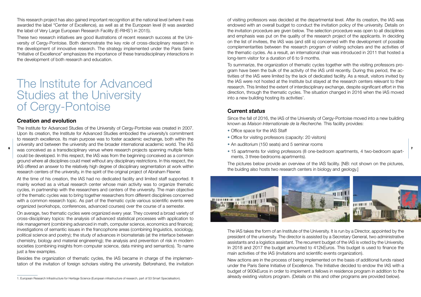This research project has also gained important recognition at the national level (where it was awarded the label "Center of Excellence), as well as at the European level (it was awarded the label of Very Large European Research Facility (E-RIHS') in 2015).

These two research initiatives are good illustrations of recent research success at the University of Cergy-Pontoise. Both demonstrate the key role of cross-disciplinary research in the development of innovative research. The strategy implemented under the Paris Seine "Initiative of Excellence" emphasizes the importance of these transdisciplinary interactions in the development of both research and education.

### The Institute for Advanced Studies at the University of Cergy-Pontoise

#### **Creation and evolution**

The Institute for Advanced Studies of the University of Cergy-Pontoise was created in 2007. Upon its creation, the Institute for Advanced Studies embodied the university's commitment to research excellence. Its main purpose was to foster academic exchange, both within the university and between the university and the broader international academic world. The IAS  $\degree$  was conceived as a transdisciplinary venue where research projects spanning multiple fields  $\Box$  anartments for visting professors (8 one-bedroom apartments, 4 two-bedroom apartcould be developed. In this respect, the IAS was from the beginning conceived as a common ground where all disciplines could meet without any disciplinary restrictions. In this respect, the IAS offered an answer to the relatively high degree of disciplinary segmentation at work within research centers of the university, in the spirit of the original project of Abraham Flexner.

At the time of his creation, the IAS had no dedicated facility and limited staff supported. It mainly worked as a virtual research center whose main activity was to organize thematic cycles, in partnership with the researchers and centers of the university. The main objective of the thematic cycles was to bring together researchers from different disciplines concerned with a common research topic. As part of the thematic cycle various scientific events were organized (workshops, conferences, advanced courses) over the course of a semester.

On average, two thematic cycles were organized every year. They covered a broad variety of cross-disciplinary topics: the analysis of advanced statistical processes with application to risk management (combining advanced in math, computer science, economics and finance); investigations of semantic issues in the francophone areas (combining linguistics, sociology, political science and poetry); the study of advances in biomaterials (at the interface between chemistry, biology and material engineering); the analysis and prevention of risk in modern societies (combining insights from computer science, data mining and semantics). To name just a few examples.

Besides the organization of thematic cycles, the IAS became in charge of the implementation of the invitation of foreign scholars visiting the university. Beforehand, the invitation

of visiting professors was decided at the departmental level. After its creation, the IAS was endowed with an overall budget to conduct the invitation policy of the university. Details on the invitation procedure are given below. The selection procedure was open to all disciplines and emphasis was put on the quality of the research project of the applicants. In deciding on the list of invitees, the IAS was (and still is) concerned with the development of possible complementarities between the research program of visiting scholars and the activities of the thematic cycles. As a result, an international chair was introduced in 2011 that hosted a long-term visitor for a duration of 6 to 9 months.

To summarize, the organization of thematic cycles together with the visiting professors program have been the bulk of the activity of the IAS until recently. During this period, the activities of the IAS were limited by the lack of dedicated facility. As a result, visitors invited by the IAS were not hosted at the Institute but stayed at the research centers relevant to their research. This limited the extent of interdisciplinary exchange, despite significant effort in this direction, through the thematic cycles. The situation changed in 2016 when the IAS moved into a new building hosting its activities'.

#### **Current** *status*

Since the fall of 2016, the IAS of the University of Cergy-Pontoise moved into a new building known as *Maison Internationale de la Recherche.* This facility provides:

- Office space for the IAS Staff
- Office for visiting professors (capacity: 20 visitors)
- An auditorium (150 seats) and 5 seminar rooms
- 15 apartments for visting professors (8 one-bedroom apartments, 4 two-bedroom apartments, 3 three-bedrooms apartments).

The pictures below provide an overview of the IAS facility. [NB: not shown on the pictures, the buiding also hosts two research centers in biology and geology.]



The IAS takes the form of an Institute of the University. It is run by a Director, appointed by the president of the university. The director is assisted by a Secretary General, two administrative assistants and a logistics assistant. The recurrent budget of the IAS is voted by the University. In 2018 and 2017 the budget amounted to 412kEuros. This budget is used to finance the main activities of the IAS (invitations and scientific events organization).

New actions are in the process of being implemented on the basis of additional funds raised under the Paris Seine Initiative of Excellence. The Initiative decided to endow the IAS with a budget of 900kEuros in order to implement a fellows in residence program in addition to the already existing visitors program. (Details on this and other programs are provided below).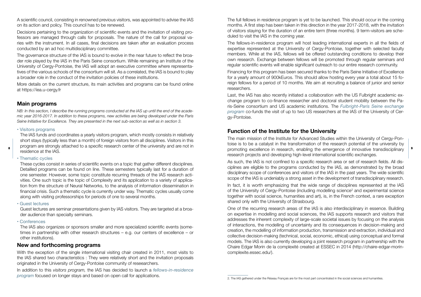A scientific council, consisting in renowned previous visitors, was appointed to advise the IAS on its action and policy. This council has to be renewed.

Decisions pertaining to the organization of scientific events and the invitation of visiting professors are managed through calls for proposals. The nature of the call for proposal varies with the instrument. In all cases, final decisions are taken after an evaluation process conducted by an ad hoc multidisciplinary committee.

The governance structure of the IAS is bound to evolve in the near future to reflect the broader role played by the IAS in the Paris Seine consortium. While remaining an Institute of the University of Cergy-Pontoise, the IAS will adopt an executive committee where representatives of the various schools of the consortium will sit. As a correlated, the IAS is bound to play a broader role in the conduct of the invitation policies of these institutions.

More details on the current structure, its main activities and programs can be found online at https://iea.u-cergy.fr

#### **Main programs**

*NB: In this section, I describe the running programs conducted at the IAS up until the end of the academic year 2016-2017. In addition to these programs, new activities are being developed under the Paris Seine Initiative for Excellence. They are presented in the next sub-section as well as in section 3.*

#### • Visitors programs

The IAS funds and coordinates a yearly visitors program, which mostly consists in relatively short stays (typically less than a month) of foreign visitors from all disciplines. Visitors in this program are strongly attached to a specific research center of the university and are not in residence at the IAS.

#### • Thematic cycles

These cycles consist in series of scientific events on a topic that gather different disciplines. Detailled programs can be found on line. These semesters typically last for a duration of one semester. However, some topic constitute recurring threads of the IAS research activities. One such topic is the topic of Complexity and its application to a variety of application from the structure of Neural Networks, to the analysis of information dissemination in financial crisis. Such a thematic cycle is currently under way. Thematic cycles usually come along with visiting professorships for periods of one to several months.

#### • Guest lectures

Guest lectures are seminar presentations given by IAS visitors. They are targeted at a broader audience than specialty seminars.

• Conferences

The IAS also organizes or sponsors smaller and more specialized scientific events (sometimes in partnership with other research structures – e.g. our centers of excellence – or other institutions).

#### **New and forthcoming programs**

With the exception of the single international visiting chair created in 2011, most visits to the IAS shared two characteristics : They were relatively short and the invitation proposals originated in the University of Cergy-Pontoise community of reseearchers.

In addition to this *visitors program,* the IAS has decided to launch a *fellows-in-residence program* focused on longer stays and based on open call for applications.

The full fellows in residence program is yet to be launched. This should occur in the coming months. A first step has been taken in this direction in the year 2017-2018, with the invitation of visitors staying for the duration of an entire term (three months). 9 term-visitors are scheduled to visit the IAS in the coming year.

The fellows-in-residence program will host leading international experts in all the fields of expertise represented at the University of Cergy-Pontoise, together with selected faculty members. While at the IAS, fellows will be offered outstanding conditions to develop their own research. Exchange between fellows will be promoted through regular seminars and regular scientific events will enable significant outreach to our entire research community.

Financing for this program has been secured thanks to the Paris Seine Initiative of Excellence for a yearly amount of 900kEuros. This should allow hosting every year a total about 15 foreign fellows for a period of 10 months. We aim at recruiting a balance of junior and senior researchers.

Last, the IAS has also recently initiated a collaboration with the US Fulbright academic exchange program to co-finance researcher and doctoral student mobility between the Paris-Seine consortium and US academic institutions. The *Fulbright-Paris Seine exchange program* co-funds the visit of up to two US researchers at the IAS of the University of Cergy-Pontoise.

#### **Function of the Institute for the University**

The main mission of the Institute for Advanced Studies within the University of Cergy-Pontoise is to be a catalyst in the transformation of the research potential of the university by promoting excellence in research, enabling the emergence of innovative transdisciplinary 8 9research projects and developing high-level international scientific exchanges.

> As such, the IAS is not confined to a specific research area or set of research fields. All disciplines are eligible to the programs conducted by the IAS, as demonstrated by the broad disciplinary scope of conferences and visitors of the IAS in the past years. The wide scientific scope of the IAS is undeniably a strong asset in the development of transdisciplinary research.

> In fact, it is worth emphasizing that the wide range of disciplines represented at the IAS of the University of Cergy-Pontoise (including modelling science<sup>2</sup> and experimental science together with social science, humanities and art), is, in the French context, a rare exception shared only with the University of Strasbourg.

> One of the recurring research areas of the IAS is also interdisciplinary in essence. Building on expertise in modelling and social sciences, the IAS supports research and visitors that addresses the inherent complexity of large-scale societal issues by focusing on the analysis of interactions, the modelling of uncertainty and its consequences in decision-making and creation, the modelling of information production, transmission and extraction, individual and collective decision-making (technical, social, economic, ethical) using conceptual and formal models. The IAS is also currently developing a joint research program in partnership with the Chaire Edgar Morin de la complexité created at ESSEC in 2014 (http://chaire-edgar-morincomplexite.essec.edu/).

<sup>2.</sup> The IAS gathered under the Réseau Français are for the most part concentrated in the social sciences and humanities.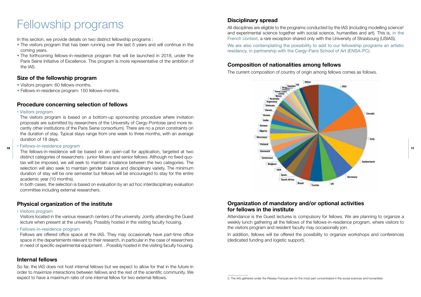## Fellowship programs

In this section, we provide details on two distinct fellowship programs :

- The visitors program that has been running over the last 5 years and will continue in the coming years.
- The forthcoming fellows-in-residence program that will be launched in 2018, under the Paris Seine Initiative of Excellence. This program is more representative of the ambition of the IAS.

#### **Size of the fellowship program**

- Visitors program: 60 fellows-months.
- Fellows-in-residence program: 150 fellows-months.

#### **Procedure concerning selection of fellows**

#### • Visitors program

The visitors program is based on a bottom-up sponsorship procedure where invitation proposals are submitted by researchers of the University of Cergy-Pontoise (and more recently other institutions of the Paris Seine consortium). There are no a priori constraints on the duration of stay. Typical stays range from one week to three months, with an average duration of 18 days.

#### • Fellows-in-residence program

distinct categories of researchers : junior fellows and senior fellows. Although no fixed quotas will be imposed, we will seek to maintain a balance between the two categories. The selection will also seek to maintain gender balance and disciplinary variety. The minimum duration of stay will be one semester but fellows will be encouraged to stay for the entire academic year (10 months).

In both cases, the selection is based on evaluation by an ad hoc interdisciplinary evaluation committee including external researchers.

#### **Physical organization of the institute**

#### • Visitors program

Visitors located in the various research centers of the university. Jointly attending the Guest lecture when present at the university. Possibly hosted in the visiting faculty housing.

• Fellows-in-residence program

Fellows are offered office space at the IAS. They may occasionally have part-time office space in the departements relevant to their research, in particular in the case of researchers in need of specific experimental equipment. . Possibly hosted in the visiting faculty housing.

#### **Internal fellows**

So far, the IAS does not host internal fellows but we expect to allow for that in the future in order to maximize interactions between fellows and the rest of the scientific community. We expect to have a maximum ratio of one internal fellow for two external fellows.

#### **Disciplinary spread**

All disciplines are eligible to the programs conducted by the IAS (including modelling science<sup>3</sup> and experimental science together with social science, humanities and art). This is, in the French context, a rare exception shared only with the University of Strasbourg (USIAS).

We are also contemplating the possibility to add to our fellowship programs an artistic residency, in partnership with the Cergy-Paris School of Art (ENSA-PC).

#### **Composition of nationalities among fellows**

The current composition of country of origin among fellows comes as follows.



#### **Organization of mandatory and/or optional activities for fellows in the institute**

Attendance is the Guest lectures is compulsory for fellows. We are planning to organize a weekly lunch gathering all the fellows of the fellows-in-residence program, where visitors to the visitors program and resident faculty may occasionally join.

In addition, fellows will be offered the possibility to organize workshops and conferences (dedicated funding and logistic support).

<sup>3.</sup> The IAS gathered under the Réseau Français are for the most part concentrated in the social sciences and humanities.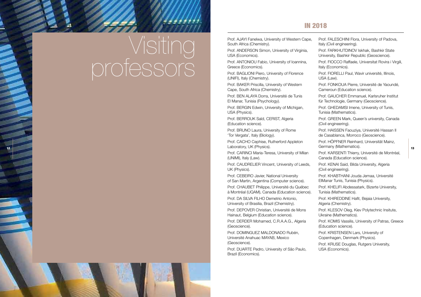# Visiting professors

#### In 2018

Prof. AJAYI Fanelwa, University of Western Cape, South Africa (Chemistry).

Prof. ANDERSON Simon, University of Virginia, USA (Economics).

Prof. ANTONIOU Fabio, University of Ioannina, Greece (Economics).

Prof. BAGLIONI Piero, University of Florence (UNIFI), Italy (Chemistry).

Prof. BAKER Priscilla, University of Western Cape, South Africa (Chemistry).

Prof. BEN ALAYA Dorra, Université de Tunis El Manar, Tunisia (Psychology).

Prof. BERGIN Edwin, University of Michigan, USA (Physics).

Prof. BERROUK Saïd, CERIST, Algeria (Education science).

Prof. BRUNO Laura, University of Rome 'Tor Vergata', Italy (Biology).

Prof. CACHO Cephise, Rutherford Appleton Laboratory, UK (Physics).  $12$   $2000\omega$ ,  $3$   $3000\omega$ ,  $900\omega$ ,  $1$   $1$   $3000\omega$ ,  $1$   $1$   $300\omega$ ,  $1$   $1$   $1$ 

> Prof. CARINCI Maria-Teresa, University of Milan (UNIMI), Italy (Law).

Prof. CAUDRELIER Vincent, University of Leeds, UK (Physics).

Prof. CEBEIRO Javier, National University of San Martin, Argentina (Computer science).

Prof. CHAUBET Philippe, Université du Québec à Montréal (UQAM), Canada (Education science).

Prof. DA SILVA FILHO Demetrio Antonio, University of Brasilia, Brazil (Chemistry).

Prof. DEPOVER Christian, Université de Mons Hainaut, Belgium (Education science).

Prof. DERDER Mohamed, C.R.A.A.G., Algeria (Geoscience).

Prof. DOMINGUEZ MALDONADO Rubén, Université Anahuac MAYAB, Mexico (Geoscience).

Prof. DUARTE Pedro, University of São Paulo, Brazil (Economics).

Prof. FALESCHINI Flora, University of Padova, Italy (Civil engineering).

Prof. FARKHUTDINOV Iskhak, Bashkir State University, Bashkir Republic (Geoscience).

Prof. FIOCCO Raffaele, Universitat Rovira i Virgili, Italy (Economics).

Prof. FIORELLI Paul, Wavir université, Illinois, USA (Law).

Prof. FONKOUA Pierre, Université de Yaoundé, Cameroun (Education science).

Prof. GAUCHER Emmanuel, Karlsruher Institut für Technologie, Germany (Geoscience).

Prof. GHEDAMSI Imene, University of Tunis, Tunisia (Mathematics).

Prof. GREEN Mark, Queen's university, Canada (Civil engineering).

Prof. HAISSEN Faouziya, Université Hassan II de Casablanca, Morroco (Geoscience).

Prof. HÖPFNER Reinhard, Universität Mainz, Germany (Mathematics).

Prof. KARSENTI Thierry, Université de Montréal, Canada (Education science).

Prof. KENAI Said, Bilda University, Algeria (Civil engineering).

Prof. KHABTHANI Jouda Jemaa, Université ElManar Tunis, Tunisia (Physics).

Prof. KHELIFI Abdessatark, Bizerte University, Tunisia (Mathematics).

Prof. KHIREDDINE Hafit, Bejaia University, Algeria (Chemistry).

Prof. KLESOV Oleg, Kiev Polytechnic Insitute, Ukraine (Mathematics).

Prof. KOMIS Vassilis, University of Patras, Greece (Education science).

Prof. KRISTENSEN Lars, University of Copenhagen, Denmark (Physics).

Prof. KRUSE Douglas, Rutgers University, USA (Economics).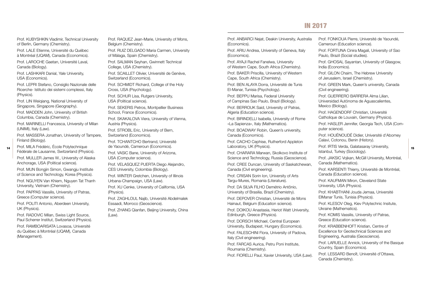#### In 2017

Prof. KUBYSHKIN Vladimir, Technical University of Berlin, Germany (Chemistry).

Prof. LALE Etienne, Université du Québec à Montréal (UQAM), Canada (Economics).

Prof. LAROCHE Gaetan, Université Laval, Canada (Biology).

Prof. LASHKARI Danial, Yale University, USA (Economics).

Prof. LEPRI Stefano, Consiglio Nazionale delle Ricerche- Istituto dei sistemi complessi, Italy (Physics).

Prof. LIN Weiqiang, National University of Singapore, Singapore (Geography).

Prof. MADDEN John, University of British Columbia, Canada (Chemistry).

Prof. MARINELLI Francesca, University of Milan (UNIMI), Italy (Law).

Prof. MASSERA Jonathan, University of Tampere, Finland (Biology).

Prof. MILA Frédéric, École Polytechnique Fédérale de Lausanne, Switzerland (Physics).

> Prof. MULLER James W., University of Alaska Anchorage, USA (Political science).

> Prof. MUN Bongjin Simon, Gwangju Institute of Science and Technology, Korea (Physics).

Prof. NGUYEN Van Khiem, Nguyen Tat Thanh University, Vietnam (Chemistry).

Prof. PAPPAS Vassilis, University of Patras, Greece (Computer science).

Prof. POLITI Antonio, Aberdeen University, UK (Physics).

Prof. RADOVIC Milan, Swiss Light Source, Paul Scherrer Institut, Switzerland (Physics).

Prof. RAMBOARISATA Lovasoa, Université du Québec à Montréal (UQAM), Canada (Management).

Prof. RAQUEZ Jean-Marie, University of Mons, Belgium (Chemistry).

Prof. RUIZ DELGADO Maria Carmen, University of Málaga, Spain (Chemistry).

Prof. SALMAN Seyhan, Gwinnett Technical College, USA (Chemistry).

Prof. SCAILLET Olivier, Université de Genève, Switzerland (Economics).

Prof. SCHMIDT Richard, College of the Holy Cross, USA (Psychology).

Prof. SCHUR Lisa, Rutgers University, USA (Political science).

Prof. SEKERIS Petros, Montpellier Business School, France (Economics).

Prof. SKAKALOVA Viera, University of Vienna, Austria (Physics).

Prof. STROBL Eric, University of Bern, Switzerland (Economics).

Prof. TCHANTCHO Bertrand, Université de Yaoundé, Cameroun (Economics).

Prof. VASIC Bane, University of Arizona, USA (Computer science).

Prof. VELASQUEZ PUERTA Diego Alejandro, CES University, Colombia (Biology).

Prof. WINTER Gretchen, University of Illinois Urbana-Champaign, USA (Law).

Prof. XU Cenke, University of California, USA (Physics).

Prof. ZAGHLOUL Najib, Université Abdelmalek Essaadi, Morroco (Geoscience).

Prof. ZHANG Qianfan, Beijing University, China (Law).

Prof. ANBARCI Nejat, Deakin University, Australia (Economics).

Prof. ARIU Andrea, University of Geneva, Italy (Economics).

Prof. AYAJI Rachel Fanelwa, University of Western Cape, South Africa (Chemistry).

Prof. BAKER Priscilla, University of Western Cape, South Africa (Chemistry).

Prof. BEN ALAYA Dorra, Université de Tunis El-Manar, Tunisia (Psychology).

Prof. BEPPU Marisa, Federal University of Campinas Sao Paulo, Brazil (Biology).

Prof. BERROUK Said, University of Patras, Algeria (Education science).

Prof. BIRINDELLI Isabella, University of Rome «La Sapienza», Italy (Mathematics).

Prof. BOADWAY Robin, Queen's university, Canada (Economics).

Prof. CACHO Cephise, Rutherford Appleton Laboratory, UK (Physics).

Prof. CHARARA Marwan, Skolkovo Institute of Science and Technology, Russia (Geoscience).

Prof. CREE Duncan, University of Saskatchewan, Canada (Civil engineering).

Prof. CRISAN Sorin Ion, University of Arts Targu-Mures, Romania (Literature).

Prof. DA SILVA FILHO Demétrio Antônio, University of Brasilia, Brazil (Chemistry).

Prof. DEPOVER Christian, Université de Mons Hainaut, Belgium (Education science).

Prof. DOIKOU Anastasia, Heriot Watt University, Edinburgh, Greece (Physics).

Prof. DORSCH Michael, Central European University, Budapest, Hungary (Economics).

Prof. FALESCHINI Flora, University of Padova, Italy (Civil engineering).

Prof. FARCAS Aurica, Petru Poni Institute, Roumania (Chemistry).

Prof. FIORELLI Paul, Xavier University, USA (Law).

Prof. FONKOUA Pierre, Université de Yaoundé, Cameroun (Education science).

Prof. FORTUNA Cinira Magali, University of Sao Paulo, Brazil (Social studies).

Prof. GHOSAL Sayantan, University of Glasgow, India (Economics).

Prof. GILON Chaim, The Hebrew University of Jerusalem, Israel (Chemistry).

Prof. GREEN Mark, Queen's university, Canada (Civil engineering).

Prof. GUERRERO BARRERA Alma Lilian, Universidad Autónoma de Aguascalientes, Mexico (Biology).

Prof. HAGENDORF Christian, Université Catholique de Louvain, Germany (Physics).

Prof. HASLER Jennifer, Georgia Tech, USA (Computer science).

Prof. HOUÉNOUDÉ Didier, Université d'Abomey Calavi, Cotonou, Benin (History).

Prof. IRTIS Verda, Galatasaray University, Istanbul, Turkey (Sociology).  $14$   $100.$   $m_{\rm H}$   $100.$   $m_{\rm H}$   $m_{\rm H}$   $m_{\rm H}$   $m_{\rm H}$   $m_{\rm H}$   $m_{\rm H}$   $m_{\rm H}$   $m_{\rm H}$   $m_{\rm H}$   $m_{\rm H}$   $m_{\rm H}$   $m_{\rm H}$   $m_{\rm H}$   $m_{\rm H}$   $m_{\rm H}$   $m_{\rm H}$   $m_{\rm H}$   $m_{\rm H}$   $m_{\rm H}$   $m_{\rm H}$   $m_{\rm H}$   $m_{\$ 

> Prof. JAKSIC Vojkan, McGill University, Montréal, Canada (Mathematics).

Prof. KARSENTI Thierry, Université de Montréal, Canada (Education science).

Prof. KAUFMAN Miron, Cleveland State University, USA (Physics).

Prof. KHABTHANI Jouda Jemaa, Université ElManar Tunis, Tunisia (Physics).

Prof. KLESOV Oleg, Kiev Polytechnic Insitute, Ukraine (Mathematics).

Prof. KOMIS Vassilis, University of Patras, Greece (Education science).

Prof. KRABBENHOFT Kristian, Centre of Excellence for Geotechnical Sciences and Engineering, Australia (Geoscience).

Prof. LARUELLE Annick, University of the Basque Country, Spain (Economics).

Prof. LESSARD Benoît, Université d'Ottawa, Canada (Chemistry).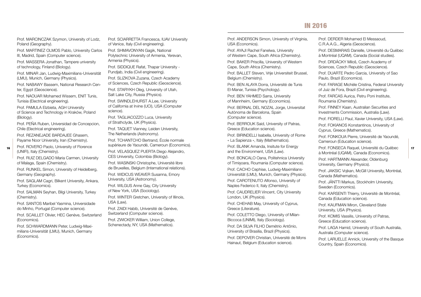#### In 2016

Prof. MARCINCZAK Szymon, University of Lodz, Poland (Geography).

Prof. MARTINEZ OLMOS Pablo, University Carlos III, Madrid, Spain (Computer science).

Prof. MASSERA Jonathan, Tampere university of technology, Finland (Biology).

Prof. MINAR Jan, Ludwig-Maximilians-Universität (LMU), Munich, Germany (Physics).

Prof. NABAWY Bassem, National Research Center, Egypt (Geoscience).

Prof. NAOUAR Mohamed Wissem, ENIT Tunis, Tunisia (Electrical engineering).

Prof. PAMULA Elzbieta, AGH University of Science and Technology in Kraków, Poland (Biology).

Prof. PEÑA Ruben, Universidad de Concepcion, Chile (Electrical engineering).

Prof. REZANEJADE BARDAJEE Ghasem, Payame Noor University, Iran (Chemistry).

Prof. ROVERO Paolo, University of Florence (UNIFI), Italy (Chemistry).

Prof. RUIZ DELGADO Maria Carmen, University of Malaga, Spain (Chemistry).

Prof. RUNKEL Simon, University of Heidelberg, Germany (Geography).

Prof. SAGLAM Cagri, Bilkent University, Ankara, Turkey (Economics).

Prof. SALMAN Seyhan, Bilgi University, Turkey (Chemistry).

Prof. SANTOS Maribel Yasmina, Universidade do Minho, Portugal (Computer science).

Prof. SCAILLET Olivier, HEC Genève, Switzerland (Economics).

Prof. SCHWARDMANN Peter, Ludwig-Maximilians-Universität (LMU), Munich, Germany (Economics).

Prof. SCIARRETTA Francesca, IUAV University of Venice, Italy (Civil engineering).

Prof. SHMAVONYAN Gagik, National Polytechnic University of Armenia, Yerevan, Armenia (Physics).

Prof. SIDDIQUE Rafat, Thapar University - Pundjab, India (Civil engineering).

Prof. SLIZKOVA Zuzana, Czech Academy of Sciences, Czech Republic (Geoscience). Prof. STARYKH Oleg, University of Utah,

Salt Lake City, Russia (Physics).

Prof. SWINDLEHURST A.Lee, University of California at Irvine (UCI), USA (Computer science).

Prof. TAGLIACOZZO Luca, University of Strathclyde, UK (Physics).

Prof. TAQUET Vianney, Leiden University, The Netherlands (Astronomy).

Prof. TCHANTCHO Bertrand, École normale supérieure de Yaoundé, Cameroun (Economics).

Prof. VELASQUEZ PUERTA Diego Alejandro, CES University, Colombia (Biology).

Prof. WASINSKI Christophe, Université libre de Bruxelles, Belgium (International relations).

Prof. WIDICUS WEAVER Susanna, Emory University, USA (Astronomy).

Prof. WILGUS Anne Gay, City University of New York, USA (Sociology).

Prof. WINTER Gretchen, University of Illinois, USA (Law).

Prof. ZAIDI Habib, Université de Genève, Switzerland (Computer science).

Prof. ZWICKER William, Union College, Schenectady, NY, USA (Mathematics).

Prof. ANDERSON Simon, University of Virginia, USA (Economics).

Prof. AYAJI Rachel Fanelwa, University of Western Cape, South Africa (Chemistry).

Prof. BAKER Priscilla, University of Western Cape, South Africa (Chemistry).

Prof. BALLET Steven, Vrije Universiteit Brussel, Belgium (Chemistry).

Prof. BEN ALAYA Dorra, Université de Tunis El-Manar, Tunisia (Psychology).

Prof. BEN YAHMED Sarra, University of Mannheim, Germany (Economics).

Prof. BERNAL DEL NOZAL Jorge, Universitat Autònoma de Barcelona, Spain (Computer science).

Prof. BERROUK Said, University of Patras, Greece (Education science).

Prof. BIRINDELLI Isabella, University of Rome « La Sapienza », Italy (Mathematics).

Prof. BLANK Amanda, Insitute for Energy and the Environment, USA (Law).

Prof. BONCALO Oana, Politehnica University of Timișoara, Roumania (Computer science).

Prof. CACHO Cephise, Ludwig-Maximilians-Universität (LMU), Munich, Germany (Physics).

Prof. CAROTENUTO Alfonso, University of Naples Federico II, Italy (Chemistry).

Prof. CAUDRELIER Vincent, City University London, UK (Physics).

Prof. CHEHAB May, University of Cyprus, Greece (Literature).

Prof. COLETTO Diego, University of Milan-Biccoca (UNIMI), Italy (Sociology).

Prof. DA SILVA FILHO Demétrio Antônio, University of Brasilia, Brazil (Physics).

Prof. DEPOVER Christian, Université de Mons Hainaut, Belgium (Education science).

Prof. DERDER Mohamed El Messaoud, C.R.A.A.G., Algeria (Geoscience).

Prof. DESMARAIS Danielle, Université du Québec à Montréal (UQAM), Canada (Social studies).

Prof. DRDÁCKY Miloš, Czech Academy of Sciences, Czech Republic (Geoscience).

Prof. DUARTE Pedro Garcia, University of Sao Paulo, Brazil (Economics).

Prof. FARAGE Michèle Cristina, Federal University of Juiz de Fora, Brazil (Civil engineering).

Prof. FARCAS Aurica, Petru Poni Institute, Roumania (Chemistry).

Prof. FINNEY Kaan, Australian Securities and Investments Commission, Australia (Law).

Prof. FIORELLI Paul, Xavier University, USA (Law).

Prof. FOKIANOS Konstantinos, University of Cyprus, Greece (Mathematics).

Prof. FONKOUA Pierre, Université de Yaoundé, Cameroun (Education science).

16 Prof. FONSECA Raquel, Université du Québec 17 à Montréal (UQAM), Canada (Economics).

> Prof. HARTMANN Alexander, Oldenburg University, Germany (Physics).

Prof. JAKSIC Vojkan, McGill University, Montréal, Canada (Mathematics).

Prof. JÄNTTI Markus, Stockholm University, Sweden (Economics).

Prof. KARSENTI Thierry, Université de Montréal, Canada (Education science).

Prof. KAUFMAN Miron, Cleveland State University, USA (Physics).

Prof. KOMIS Vassilis, University of Patras, Greece (Education science).

Prof. LAGA Hamid, University of South Australia, Australia (Computer science).

Prof. LARUELLE Annick, University of the Basque Country, Spain (Economics).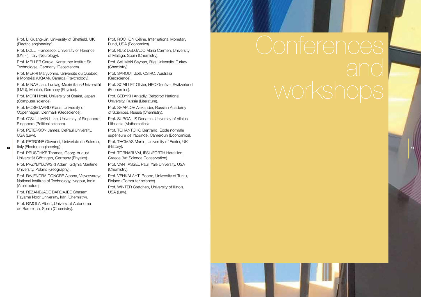Prof. LI Guang-Jin, University of Sheffield, UK (Electric engineering).

Prof. LOLLI Francesco, University of Florence (UNIFI), Italy (Neurology).

Prof. MELLER Carola, Karlsruher Institut für Technologie, Germany (Geoscience).

Prof. MERRI Maryvonne, Université du Québec à Montréal (UQAM), Canada (Psychology).

Prof. MINAR Jan, Ludwig-Maximilians-Universität (LMU), Munich, Germany (Physics).

Prof. MORI Hiroki, University of Osaka, Japan (Computer science).

Prof. MOSEGAARD Klaus, University of Copenhagen, Denmark (Geoscience).

Prof. O'SULLIVAN Luke, University of Singapore, Singapore (Political science).

Prof. PETERSON James, DePaul University, USA (Law).

Prof. PETRONE Giovanni, Univeristé de Salerno, Italy (Electric engineering). 18 19

Prof. PRUSCHKE Thomas, Georg-August Universität Göttingen, Germany (Physics).

Prof. PRZYBYLOWSKI Adam, Gdynia Maritime University, Poland (Geography).

Prof. RAJENDRA DONGRE Alpana, Visvesvaraya National Institute of Technology, Nagpur, India (Architecture).

Prof. REZANEJADE BARDAJEE Ghasem, Payame Noor University, Iran (Chemistry).

Prof. RIMOLA Albert, Universitat Autònoma de Barcelona, Spain (Chemistry).

Prof. ROCHON Céline, International Monetary Fund, USA (Economics).

Prof. RUIZ DELGADO Maria Carmen, University of Malaga, Spain (Chemistry).

Prof. SALMAN Seyhan, Bilgi University, Turkey (Chemistry).

Prof. SAROUT Joël, CSIRO, Australia (Geoscience).

Prof. SCAILLET Olivier, HEC Genève, Switzerland (Economics).

Prof. SEDYKH Arkadiy, Belgorod National University, Russia (Literature).

Prof. SHAPLOV Alexander, Russian Academy of Sciences, Russia (Chemistry).

Prof. SURGAILIS Donatas, University of Vilnius, Lithuania (Mathematics).

Prof. TCHANTCHO Bertrand, École normale supérieure de Yaoundé, Cameroun (Economics).

Prof. THOMAS Martin, University of Exeter, UK (History).

Prof. TORNARI Vivi, IESL/FORTH Heraklion, Greece (Art Science Conservation).

Prof. VAN TASSEL Paul, Yale University, USA (Chemistry).

Prof. VEHKALAHTI Roope, University of Turku, Finland (Computer science).

Prof. WINTER Gretchen, University of Illinois, USA (Law).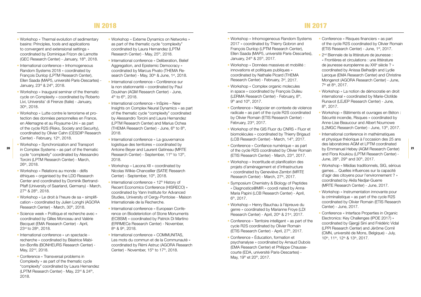- Workshop « Thermal evolution of sedimentary basins: Principles, tools and applications to convergent and extensional settings » coordinated by Dominique Frizon de Lamotte (GEC Research Center) - January, 18th, 2018.
- International conference « Inhomogeneous Random Systems 2018 » coordinated by François Dunlop (LPTM Research Center), Ellen Saada (MAP5, université Paris-Descartes) - January, 23rd & 24th, 2018.
- Workshop « Inaugural seminar of the thematic cycle on Complexity » coordinated by Roberto Livi, Universita' di Firenze (Italie) - January, 30th, 2018.
- Workshop « Lutte contre le terrorisme et protection des données personnelles en France, en Allemagne et au Royaume-Uni » as part of the cycle R2S (Risks, Society and Security), coordinated by Olivier Cahn (CESDIP Research Center) - February, 12th, 2018.
- 
- Workshop « Synchronization and Transport in Complex Systems » as part of the thematic cycle "complexity" coordinated by Alessandro Torcini (LPTM Research Center) - March, 26th, 2018.
- Workshop « Relations au monde défis éthiques » organised by the LDD Research Center and coordinated by Dominik Bertrand-Pfaff (University of Saarland, Germany) - March, 27th & 28th, 2018.
- Workshop « Le droit à l'heure de sa « simplification » coordinated by Julien Longhi (AGORA Research Center) - March, 30<sup>th</sup>, 2018.
- Science week « Politique et recherche avec » coordinated by Gilles Monceau and Valérie Becquet (EMA Research Center) - April, 23rd to 28th, 2018.
- International conference « un spectacle recherche » coordinated by Béatrice Mabilon-Bonfils (BONHEURS Research Center) - May, 22<sup>nd</sup>, 2018.
- Conference « Transversal problems in Complexity » as part of the thematic cycle "complexity" coordinated by Laura Hernandez (LPTM Research Center) - May, 23rd & 24th, 2018.
- Workshop « Externe Dynamics on Networks » as part of the thematic cycle "complexity" coordinated by Laura Hernandez (LPTM Research Center) - May, 25<sup>th</sup>, 2018.
- International conference « Deliberation, Belief Aggregation, and Epistemic Democracy » coordinated by Marcus Pivato (THEMA Research Center) - May, 30<sup>th</sup> & June, 1st, 2018.
- International conference « Conférence sur la non stationnarité » coordinated by Paul Doukhan (AGM Research Center) - June,  $4<sup>th</sup>$  to  $6<sup>th</sup>$ , 2018.
- International conference « InSpire New Insights on Complex Neural Dynamics » as part of the thematic cycle "complexity" coordinated by Alessandro Torcini and Laura Hernandez (LPTM Research Center) and Marius Ochea (THEMA Research Center) - June, 6<sup>th</sup> to 8<sup>th</sup>, 2018.
- International conference « La gouvernance logistique des territoires » coordinated by Antoine Beyer and Laurent Gatineau (MRTE Research Center) - September, 11<sup>th</sup> to 13<sup>th</sup>, 2018.
- Workshop « Lacona XII » coordinated by Nicolas Wilkie-Chancellier (SATIE Research Center) - September, 10<sup>th</sup>, 2018.
- International conference « 12<sup>th</sup> History of Recent Economics Conference (HISRECO) » coordinated by Yann Institute for Advanced Studies, University of Cergy-Pontoise - Maison Internationale de la Recherche.
- International conference « European Conference on Biodeteriotion of Stone Monuments (ECBSM) » coordinated by Patrick Di Martino (ERRMECe Research Center) - November, 8<sup>th</sup> & 9<sup>th</sup>, 2018.
- International conference « COMMUNITAS, Les mots du commun et de la Communauté » coordinated by Rémi Astruc (AGORA Research Center) - November, 15<sup>th</sup> to 17<sup>th</sup>, 2018.
- Workshop « Inhomogeneous Random Systems 2017 » coordinated by Thierry Gobron and François Dunlop (LPTM Research Center), Ellen Saada (MAP5, université Paris-Descartes), January, 24<sup>th</sup> & 25<sup>th</sup>, 2017.
- Workshop « Données massives et mobilité : innovations et politiques publiques » coordinated by Nathalie Picard (THEMA Research Center) - February, 3rd, 2017.
- Workshop « Complex organic molecules in space » coordinated by François Dulieu (LERMA Research Center) - February, 8th, 9<sup>th</sup> and 10<sup>th</sup>, 2017.
- Conference « Négocier en contexte de violence radicale » as part of the cycle R2S coordinated by Olivier Romain (ETIS Research Center) - February, 23rd, 2017.
- Workshop of the GIS Fluor du CNRS « Fluor et biomolécules » coordinated by Thierry Brigaud (LCB Research Center) - March, 14<sup>th</sup>, 2017.
- Conference « Confiance numérique » as part of the cycle R2S coordinated by Olivier Romain (ETIS Research Center) - March, 23rd, 2017. 20 in Complex Systems » as part of the thematic Antoine Beyer and Laurent Gatineau (MRTE of the cycle R2S coordinated by Olivier Romain by Emmanuel Hebey (AGM Research Center) 21
	- Workshop « Incertitude et planification des projets d'aménagement et d'infrastructure » coordinated by Geneviève Zembri (MRTE Research Center) - March, 27th, 2017.
	- Symposium Chemistry & Biology of Peptides « Diagnostics@MIR » coordi nated by Anna Maria Papini (LCB Research Center) - April, 6th, 2017.
	- Workshop « Henry Bauchau à l'épreuve du genre » coordinated by Marianne Froye (LDI Research Center) - April, 20<sup>th</sup> & 21<sup>st</sup>, 2017.
	- Conference « Territoire intelligent » as part of the cycle R2S coordinated by Olivier Romain (ETIS Research Center) - April, 27<sup>th</sup>, 2017.
	- Conference « Éducation, formation et psychanalyse » coordinated by Arnaud Dubois (EMA Research Center) et Philippe Chaussecourte (EDA, université Paris-Descartes) - May, 19<sup>th</sup> et 20<sup>th</sup>, 2017.
- Conference « Risques financiers » as part of the cycle R2S coordinated by Olivier Romain (ETIS Research Center) - June, 1st, 2017.
- <sup>2nd</sup> Biennale de la littérature de jeunesse : « Frontières et circulations : une littérature de jeunesse européenne au XXIe siècle ? » coordinated by Anissa Belhadjin and Lydie Laroque (EMA Research Center) and Christine Mongenot (AGORA Research Center) - June, 7th et 8th, 2017.
- Workshop « La notion de démocratie en droit international » coordinated by Marie-Clotilde Runavot (LEJEP Research Center) - June, 8th, 2017.
- Workshop « Bâtiments et ouvrages en Béton : Sécurité incendie, Risques » coordinated by Anne-Lise Beaucour and Albert Noumowe (L2MGC Research Center) - June, 13th, 2017.
- International conference in mathématiques et physique théorique à l'occasion des 25 ans des laboratoires AGM et LPTM coordinated and Flora Koukiou (LPTM Research Center) - June,  $28^{th}$ ,  $29^{th}$  and  $30^{th}$ ,  $2017$ .
- Workshop « Médias traditionnels, SIG, sérious games… Quelles influences sur la capacité d'agir des citoyens pour l'environnement ? » coordinated by Akila Nedjar-Guerre (MRTE Research Center) - June, 2017.
- Workshop « Instrumentation innovante pour la criminalistique » as part of the cycle R2S coordinated by Olivier Romain (ETIS Research Center) - June, 2017.
- Conference « Interface Properties in Organic Electronics: Key Challenges (IPOE 2017) » coordinated by Gjergji Sini and Frédéric Vidal (LPPI Research Center) and Jérôme Cornil (CMN, université de Mons, Belgique) - July, 10th, 11th, 12th & 13th, 2017.

#### In 2018 In 2017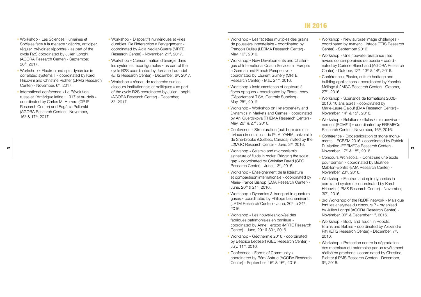#### In 2016

- Workshop « Les Sciences Humaines et Sociales face à la menace : décrire, anticiper, réguler, prévoir et répondre » as part of the cycle R2S coordinated by Julien Longhi (AGORA Research Center) - September, 28th, 2017.
- Workshop « Electron and spin dynamics in correlated systems II » coordinated by Karol Hricovini and Christine Richter (LPMS Research Center) - November, 6<sup>th</sup>, 2017.
- International conference « La Révolution russe et l'Amérique latine : 1917 et au-delà » coordinated by Carlos M. Herrera (CPJP Research Center) and Eugénia Palieraki (AGORA Research Center) - November, 16th & 17th, 2017.
- Workshop « Dispositifs numériques et villes durables. De l'interaction à l'engagement » coordinated by Akila Nedjar-Guerre (MRTE Research Center) - November, 21st, 2017.
- Workshop « Consommation d'énergie dans les systèmes reconfigurables » as part of the cycle R2S coordinated by Jordane Lorandel (ETIS Research Center) - December, 6<sup>th</sup>, 2017.
- Workshop « réseau de recherche sur les discours institutionnels et politiques » as part of the cycle R2S coordinated by Julien Longhi (AGORA Research Center) - December, 8th, 2017.
- Workshop « Les facettes multiples des grains de poussière interstellaire » coordinated by François Dulieu (LERMA Research Center) - May, 10<sup>th</sup>, 2016.
- Workshop « New Developments and Challenges of International Coach Services in Europe: a German and French Perspective » coordinated by Laurent Guihéry (MRTE Research Center) - May, 24th, 2016.
- Workshop « Instrumentation et capteurs à fibres optiques » coordinated by Pierre Lecoy (Département TISA, Centrale Supélec) - May, 25<sup>th</sup>, 2016.
- Workshop « Workshop on Heterogeneity and Dynamics in Markets and Games » coordinated by Ani Guerdjikova (THEMA Research Center) - May, 26<sup>th</sup> & 27<sup>th</sup>, 2016.
- Conférence « Structuration (build-up) des matériaux cimentaires » du Pr. A. YAHIA, université de Sherbrooke (Québec, Canada) invited by the L2MGC Research Center - June, 3rd, 2016.
- Workshop « Seismic and microseismic signature of fluids in rocks: Bridging the scale gap » coordinated by Christian David (GEC Research Center) - June, 13th, 2016.
- Workshop « Enseignement de la littérature et comparaison internationale » coordinated by Marie-France Bishop (EMA Research Center) - June, 20th & 21st, 2016.
- Workshop « Dynamics & transport in quantum gases » coordinated by Philippe Lecheminant (LPTM Research Center) - June, 20<sup>th</sup> to 24<sup>th</sup>, 2016.
- Workshop « Les nouvelles voix/es des fabriques patrimoniales en banlieue » coordinated by Anne Hertzog (MRTE Research Center) - June, 29th & 30th, 2016.
- Workshop « Géothermie 2016 » coordinated by Béatrice Ledésert (GEC Research Center) - July, 11th, 2016.
- Conference « Forms of Community » coordinated by Rémi Astruc (AGORA Research Center) - September, 15<sup>th</sup> & 16<sup>th</sup>, 2016.
- Workshop « New aurorae image challenges » coordinated by Aymeric Histace (ETIS Research Center) - September 2016.
- Workshop « Une nouvelle résistance : les revues contemporaines de poésie » coordinated by Corinne Blanchaud (AGORA Research Center) - October, 12<sup>th</sup>, 13<sup>th</sup> & 14<sup>th</sup>, 2016.
- Conférence « Plaster, culture heritage and building applications » coordinated by Yannick Mélinge (L2MGC Research Center) - October, 27th, 2016.
- Workshop « Scénarios de formations 2006- 2016, 10 ans après » coordinated by Marie-Laure Elalouf (EMA Research Center) - November, 14<sup>th</sup> & 15<sup>th</sup>, 2016.
- Workshop « Relations cellules / microenvironnement (RCM#1) » coordinated by ERRMECe Research Center - November, 16th, 2016.
- Conference « Biodeterioration of stone monuments – ECBSM 2016 » coordinated by Patrick Di Martino (ERRMECe Research Center) - November, 17<sup>th</sup> & 18<sup>th</sup>, 2016. 22 23
	- Concours Archiscola, « Construire une école pour demain » coordinated by Béatrice Mabilon-Bonfils (EMA Research Center) -
	- Workshop « Electron and spin dynamics in correlated systems » coordinated by Karol Hricovini (LPMS Research Center) - November, 30th, 2016.

November, 23rd, 2016.

- 3rd Workshop of the R2DIP network « Mais que font les analystes du discours ? » organised by Julien Longhi (AGORA Research Center) - November, 30<sup>th</sup> & December 1<sup>st</sup>, 2016.
- Workshop « Body and Touch in Robots, Brains and Babies » coordinated by Alexandre Pitti (ETIS Research Center) - December, 7<sup>th</sup>, 2016.
- Workshop « Protection contre la dégradation des matériaux du patrimoine par un revêtement réalisé en graphène » coordinated by Christine Richter (LPMS Research Center) - December, 9th, 2016.